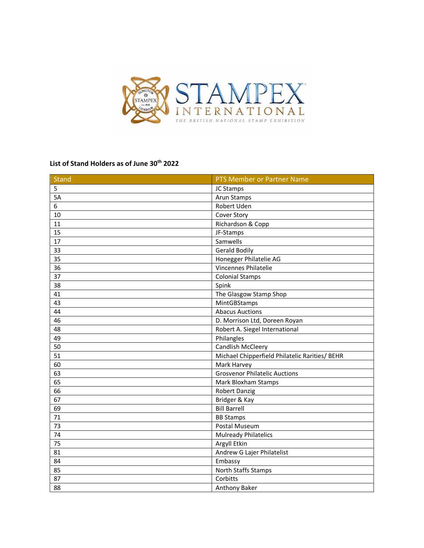

## **List of Stand Holders as of June 30th 2022**

| <b>Stand</b>    | PTS Member or Partner Name                     |
|-----------------|------------------------------------------------|
| 5               | JC Stamps                                      |
| 5A              | Arun Stamps                                    |
| 6               | Robert Uden                                    |
| 10              | Cover Story                                    |
| 11              | Richardson & Copp                              |
| 15              | JF-Stamps                                      |
| 17              | Samwells                                       |
| 33              | <b>Gerald Bodily</b>                           |
| 35              | Honegger Philatelie AG                         |
| 36              | <b>Vincennes Philatelie</b>                    |
| 37              | <b>Colonial Stamps</b>                         |
| 38              | Spink                                          |
| 41              | The Glasgow Stamp Shop                         |
| 43              | MintGBStamps                                   |
| 44              | <b>Abacus Auctions</b>                         |
| 46              | D. Morrison Ltd, Doreen Royan                  |
| 48              | Robert A. Siegel International                 |
| 49              | Philangles                                     |
| 50              | Candlish McCleery                              |
| 51              | Michael Chipperfield Philatelic Rarities/ BEHR |
| 60              | Mark Harvey                                    |
| 63              | <b>Grosvenor Philatelic Auctions</b>           |
| 65              | <b>Mark Bloxham Stamps</b>                     |
| 66              | <b>Robert Danzig</b>                           |
| 67              | Bridger & Kay                                  |
| 69              | <b>Bill Barrell</b>                            |
| 71              | <b>BB Stamps</b>                               |
| 73              | Postal Museum                                  |
| $\overline{74}$ | <b>Mulready Philatelics</b>                    |
| 75              | Argyll Etkin                                   |
| 81              | Andrew G Lajer Philatelist                     |
| 84              | Embassy                                        |
| 85              | North Staffs Stamps                            |
| 87              | Corbitts                                       |
| 88              | Anthony Baker                                  |